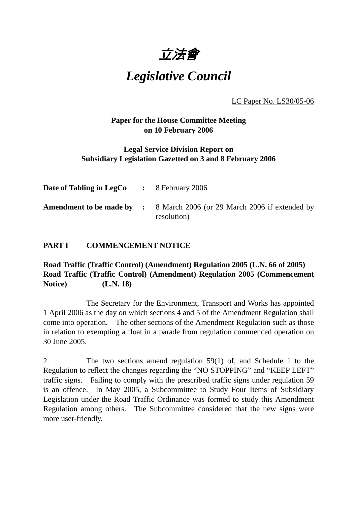

*Legislative Council*

LC Paper No. LS30/05-06

### **Paper for the House Committee Meeting on 10 February 2006**

### **Legal Service Division Report on Subsidiary Legislation Gazetted on 3 and 8 February 2006**

| <b>Date of Tabling in LegCo</b> $\cdot$ 8 February 2006 |                                                                                               |
|---------------------------------------------------------|-----------------------------------------------------------------------------------------------|
|                                                         | <b>Amendment to be made by :</b> 8 March 2006 (or 29 March 2006 if extended by<br>resolution) |

### **PART I COMMENCEMENT NOTICE**

**Road Traffic (Traffic Control) (Amendment) Regulation 2005 (L.N. 66 of 2005) Road Traffic (Traffic Control) (Amendment) Regulation 2005 (Commencement Notice) (L.N. 18)**

The Secretary for the Environment, Transport and Works has appointed 1 April 2006 as the day on which sections 4 and 5 of the Amendment Regulation shall come into operation. The other sections of the Amendment Regulation such as those in relation to exempting a float in a parade from regulation commenced operation on 30 June 2005.

2. The two sections amend regulation 59(1) of, and Schedule 1 to the Regulation to reflect the changes regarding the "NO STOPPING" and "KEEP LEFT" traffic signs. Failing to comply with the prescribed traffic signs under regulation 59 is an offence. In May 2005, a Subcommittee to Study Four Items of Subsidiary Legislation under the Road Traffic Ordinance was formed to study this Amendment Regulation among others. The Subcommittee considered that the new signs were more user-friendly.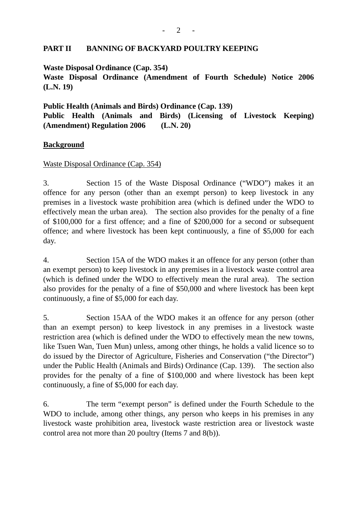#### **PART II BANNING OF BACKYARD POULTRY KEEPING**

**Waste Disposal Ordinance (Cap. 354)** 

**Waste Disposal Ordinance (Amendment of Fourth Schedule) Notice 2006 (L.N. 19)** 

**Public Health (Animals and Birds) Ordinance (Cap. 139) Public Health (Animals and Birds) (Licensing of Livestock Keeping) (Amendment) Regulation 2006 (L.N. 20)** 

#### **Background**

#### Waste Disposal Ordinance (Cap. 354)

3. Section 15 of the Waste Disposal Ordinance ("WDO") makes it an offence for any person (other than an exempt person) to keep livestock in any premises in a livestock waste prohibition area (which is defined under the WDO to effectively mean the urban area). The section also provides for the penalty of a fine of \$100,000 for a first offence; and a fine of \$200,000 for a second or subsequent offence; and where livestock has been kept continuously, a fine of \$5,000 for each day.

4. Section 15A of the WDO makes it an offence for any person (other than an exempt person) to keep livestock in any premises in a livestock waste control area (which is defined under the WDO to effectively mean the rural area). The section also provides for the penalty of a fine of \$50,000 and where livestock has been kept continuously, a fine of \$5,000 for each day.

5. Section 15AA of the WDO makes it an offence for any person (other than an exempt person) to keep livestock in any premises in a livestock waste restriction area (which is defined under the WDO to effectively mean the new towns, like Tsuen Wan, Tuen Mun) unless, among other things, he holds a valid licence so to do issued by the Director of Agriculture, Fisheries and Conservation ("the Director") under the Public Health (Animals and Birds) Ordinance (Cap. 139). The section also provides for the penalty of a fine of \$100,000 and where livestock has been kept continuously, a fine of \$5,000 for each day.

6. The term "exempt person" is defined under the Fourth Schedule to the WDO to include, among other things, any person who keeps in his premises in any livestock waste prohibition area, livestock waste restriction area or livestock waste control area not more than 20 poultry (Items 7 and 8(b)).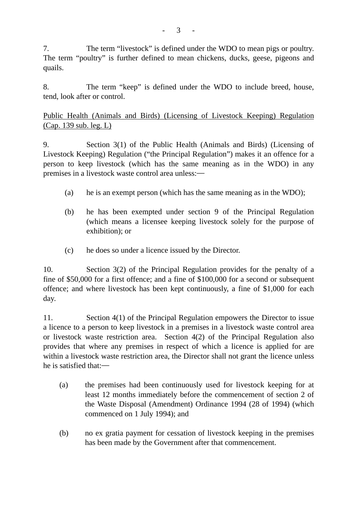7. The term "livestock" is defined under the WDO to mean pigs or poultry. The term "poultry" is further defined to mean chickens, ducks, geese, pigeons and quails.

8. The term "keep" is defined under the WDO to include breed, house, tend, look after or control.

Public Health (Animals and Birds) (Licensing of Livestock Keeping) Regulation (Cap. 139 sub. leg. L)

9. Section 3(1) of the Public Health (Animals and Birds) (Licensing of Livestock Keeping) Regulation ("the Principal Regulation") makes it an offence for a person to keep livestock (which has the same meaning as in the WDO) in any premises in a livestock waste control area unless:―

- (a) he is an exempt person (which has the same meaning as in the WDO);
- (b) he has been exempted under section 9 of the Principal Regulation (which means a licensee keeping livestock solely for the purpose of exhibition); or
- (c) he does so under a licence issued by the Director.

10. Section 3(2) of the Principal Regulation provides for the penalty of a fine of \$50,000 for a first offence; and a fine of \$100,000 for a second or subsequent offence; and where livestock has been kept continuously, a fine of \$1,000 for each day.

11. Section 4(1) of the Principal Regulation empowers the Director to issue a licence to a person to keep livestock in a premises in a livestock waste control area or livestock waste restriction area. Section 4(2) of the Principal Regulation also provides that where any premises in respect of which a licence is applied for are within a livestock waste restriction area, the Director shall not grant the licence unless he is satisfied that:―

- (a) the premises had been continuously used for livestock keeping for at least 12 months immediately before the commencement of section 2 of the Waste Disposal (Amendment) Ordinance 1994 (28 of 1994) (which commenced on 1 July 1994); and
- (b) no ex gratia payment for cessation of livestock keeping in the premises has been made by the Government after that commencement.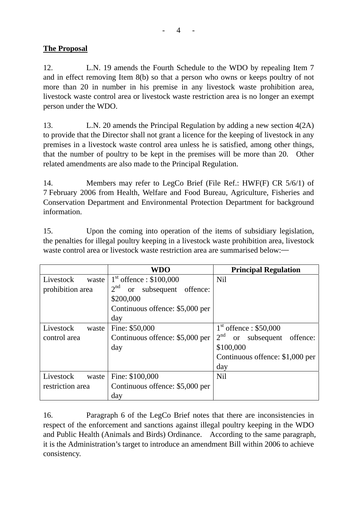## **The Proposal**

12. L.N. 19 amends the Fourth Schedule to the WDO by repealing Item 7 and in effect removing Item 8(b) so that a person who owns or keeps poultry of not more than 20 in number in his premise in any livestock waste prohibition area, livestock waste control area or livestock waste restriction area is no longer an exempt person under the WDO.

13. L.N. 20 amends the Principal Regulation by adding a new section 4(2A) to provide that the Director shall not grant a licence for the keeping of livestock in any premises in a livestock waste control area unless he is satisfied, among other things, that the number of poultry to be kept in the premises will be more than 20. Other related amendments are also made to the Principal Regulation.

14. Members may refer to LegCo Brief (File Ref.: HWF(F) CR 5/6/1) of 7 February 2006 from Health, Welfare and Food Bureau, Agriculture, Fisheries and Conservation Department and Environmental Protection Department for background information.

15. Upon the coming into operation of the items of subsidiary legislation, the penalties for illegal poultry keeping in a livestock waste prohibition area, livestock waste control area or livestock waste restriction area are summarised below:—

|                                                     | <b>WDO</b>                                             | <b>Principal Regulation</b>                                |
|-----------------------------------------------------|--------------------------------------------------------|------------------------------------------------------------|
| Livestock<br>waste                                  | $1st$ offence : \$100,000                              | <b>Nil</b>                                                 |
| prohibition area                                    | 2 <sup>nd</sup><br>offence:<br>subsequent<br><b>or</b> |                                                            |
|                                                     | \$200,000                                              |                                                            |
|                                                     | Continuous offence: \$5,000 per                        |                                                            |
|                                                     | day                                                    |                                                            |
| Livestock<br>waste                                  | Fine: \$50,000                                         | $1st$ offence : \$50,000                                   |
| control area                                        | Continuous offence: \$5,000 per                        | 2 <sup>nd</sup><br>subsequent<br>offence:<br><sub>or</sub> |
|                                                     | day                                                    | \$100,000                                                  |
|                                                     |                                                        | Continuous offence: \$1,000 per                            |
|                                                     |                                                        | day                                                        |
| Livestock<br>waste                                  | Fine: \$100,000                                        | <b>Nil</b>                                                 |
| Continuous offence: \$5,000 per<br>restriction area |                                                        |                                                            |
|                                                     | day                                                    |                                                            |

16. Paragraph 6 of the LegCo Brief notes that there are inconsistencies in respect of the enforcement and sanctions against illegal poultry keeping in the WDO and Public Health (Animals and Birds) Ordinance. According to the same paragraph, it is the Administration's target to introduce an amendment Bill within 2006 to achieve consistency.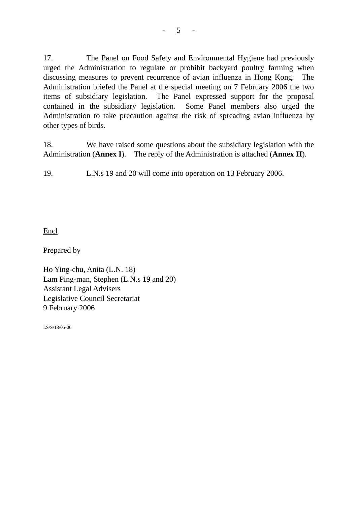17. The Panel on Food Safety and Environmental Hygiene had previously urged the Administration to regulate or prohibit backyard poultry farming when discussing measures to prevent recurrence of avian influenza in Hong Kong. The Administration briefed the Panel at the special meeting on 7 February 2006 the two items of subsidiary legislation. The Panel expressed support for the proposal contained in the subsidiary legislation. Some Panel members also urged the Administration to take precaution against the risk of spreading avian influenza by other types of birds.

18. We have raised some questions about the subsidiary legislation with the Administration (**Annex I**). The reply of the Administration is attached (**Annex II**).

19. L.N.s 19 and 20 will come into operation on 13 February 2006.

Encl

Prepared by

Ho Ying-chu, Anita (L.N. 18) Lam Ping-man, Stephen (L.N.s 19 and 20) Assistant Legal Advisers Legislative Council Secretariat 9 February 2006

LS/S/18/05-06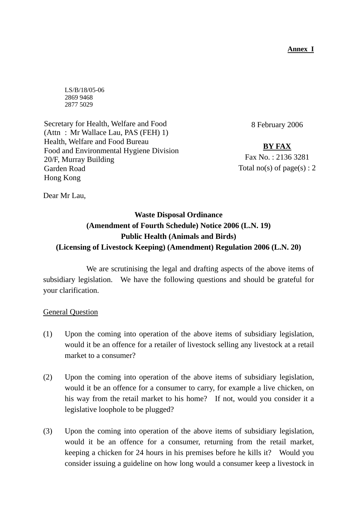**Annex I**

LS/B/18/05-06 2869 9468 2877 5029

Secretary for Health, Welfare and Food (Attn : Mr Wallace Lau, PAS (FEH) 1) Health, Welfare and Food Bureau Food and Environmental Hygiene Division 20/F, Murray Building Garden Road Hong Kong

8 February 2006

**BY FAX** Fax No. : 2136 3281 Total no(s) of page(s) :  $2$ 

Dear Mr Lau,

# **Waste Disposal Ordinance (Amendment of Fourth Schedule) Notice 2006 (L.N. 19) Public Health (Animals and Birds) (Licensing of Livestock Keeping) (Amendment) Regulation 2006 (L.N. 20)**

 We are scrutinising the legal and drafting aspects of the above items of subsidiary legislation. We have the following questions and should be grateful for your clarification.

General Question

- (1) Upon the coming into operation of the above items of subsidiary legislation, would it be an offence for a retailer of livestock selling any livestock at a retail market to a consumer?
- (2) Upon the coming into operation of the above items of subsidiary legislation, would it be an offence for a consumer to carry, for example a live chicken, on his way from the retail market to his home? If not, would you consider it a legislative loophole to be plugged?
- (3) Upon the coming into operation of the above items of subsidiary legislation, would it be an offence for a consumer, returning from the retail market, keeping a chicken for 24 hours in his premises before he kills it? Would you consider issuing a guideline on how long would a consumer keep a livestock in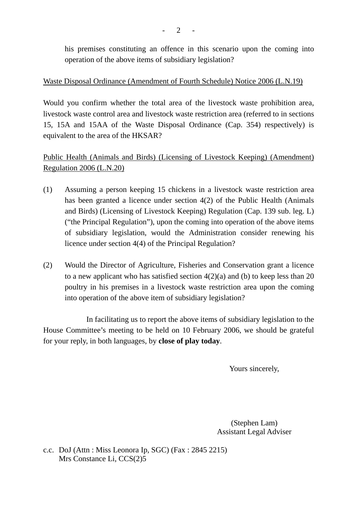his premises constituting an offence in this scenario upon the coming into operation of the above items of subsidiary legislation?

### Waste Disposal Ordinance (Amendment of Fourth Schedule) Notice 2006 (L.N.19)

Would you confirm whether the total area of the livestock waste prohibition area, livestock waste control area and livestock waste restriction area (referred to in sections 15, 15A and 15AA of the Waste Disposal Ordinance (Cap. 354) respectively) is equivalent to the area of the HKSAR?

Public Health (Animals and Birds) (Licensing of Livestock Keeping) (Amendment) Regulation 2006 (L.N.20)

- (1) Assuming a person keeping 15 chickens in a livestock waste restriction area has been granted a licence under section 4(2) of the Public Health (Animals and Birds) (Licensing of Livestock Keeping) Regulation (Cap. 139 sub. leg. L) ("the Principal Regulation"), upon the coming into operation of the above items of subsidiary legislation, would the Administration consider renewing his licence under section 4(4) of the Principal Regulation?
- (2) Would the Director of Agriculture, Fisheries and Conservation grant a licence to a new applicant who has satisfied section 4(2)(a) and (b) to keep less than 20 poultry in his premises in a livestock waste restriction area upon the coming into operation of the above item of subsidiary legislation?

 In facilitating us to report the above items of subsidiary legislation to the House Committee's meeting to be held on 10 February 2006, we should be grateful for your reply, in both languages, by **close of play today**.

Yours sincerely,

(Stephen Lam) Assistant Legal Adviser

c.c. DoJ (Attn : Miss Leonora Ip, SGC) (Fax : 2845 2215) Mrs Constance Li, CCS(2)5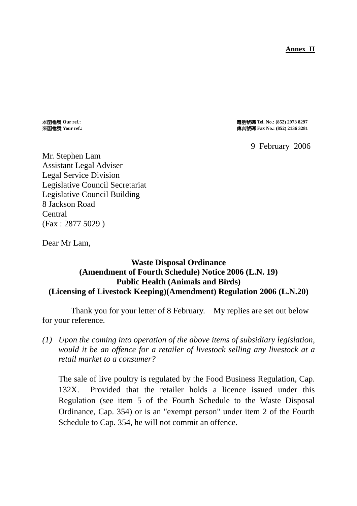**Annex II**

本函檔號 **Our ref.:** 電話號碼 **Tel. No.: (852) 2973 8297** 來函檔號 **Your ref.:** 傳真號碼 **Fax No.: (852) 2136 3281** 

9 February 2006

Mr. Stephen Lam Assistant Legal Adviser Legal Service Division Legislative Council Secretariat Legislative Council Building 8 Jackson Road Central (Fax : 2877 5029 )

Dear Mr Lam,

## **Waste Disposal Ordinance (Amendment of Fourth Schedule) Notice 2006 (L.N. 19) Public Health (Animals and Birds) (Licensing of Livestock Keeping)(Amendment) Regulation 2006 (L.N.20)**

 Thank you for your letter of 8 February. My replies are set out below for your reference.

*(1) Upon the coming into operation of the above items of subsidiary legislation, would it be an offence for a retailer of livestock selling any livestock at a retail market to a consumer?* 

The sale of live poultry is regulated by the Food Business Regulation, Cap. 132X. Provided that the retailer holds a licence issued under this Regulation (see item 5 of the Fourth Schedule to the Waste Disposal Ordinance, Cap. 354) or is an "exempt person" under item 2 of the Fourth Schedule to Cap. 354, he will not commit an offence.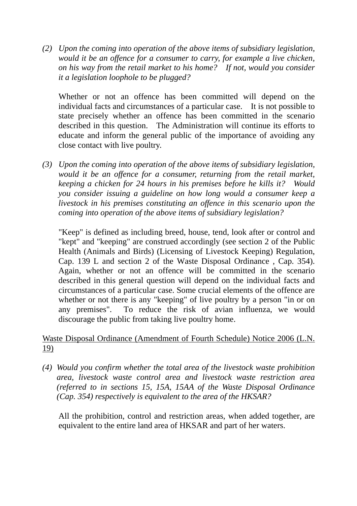*(2) Upon the coming into operation of the above items of subsidiary legislation, would it be an offence for a consumer to carry, for example a live chicken, on his way from the retail market to his home? If not, would you consider it a legislation loophole to be plugged?* 

Whether or not an offence has been committed will depend on the individual facts and circumstances of a particular case. It is not possible to state precisely whether an offence has been committed in the scenario described in this question. The Administration will continue its efforts to educate and inform the general public of the importance of avoiding any close contact with live poultry.

*(3) Upon the coming into operation of the above items of subsidiary legislation, would it be an offence for a consumer, returning from the retail market, keeping a chicken for 24 hours in his premises before he kills it? Would you consider issuing a guideline on how long would a consumer keep a livestock in his premises constituting an offence in this scenario upon the coming into operation of the above items of subsidiary legislation?* 

"Keep" is defined as including breed, house, tend, look after or control and "kept" and "keeping" are construed accordingly (see section 2 of the Public Health (Animals and Birds) (Licensing of Livestock Keeping) Regulation, Cap. 139 L and section 2 of the Waste Disposal Ordinance , Cap. 354). Again, whether or not an offence will be committed in the scenario described in this general question will depend on the individual facts and circumstances of a particular case. Some crucial elements of the offence are whether or not there is any "keeping" of live poultry by a person "in or on any premises". To reduce the risk of avian influenza, we would discourage the public from taking live poultry home.

## Waste Disposal Ordinance (Amendment of Fourth Schedule) Notice 2006 (L.N. 19)

*(4) Would you confirm whether the total area of the livestock waste prohibition area, livestock waste control area and livestock waste restriction area (referred to in sections 15, 15A, 15AA of the Waste Disposal Ordinance (Cap. 354) respectively is equivalent to the area of the HKSAR?* 

All the prohibition, control and restriction areas, when added together, are equivalent to the entire land area of HKSAR and part of her waters.